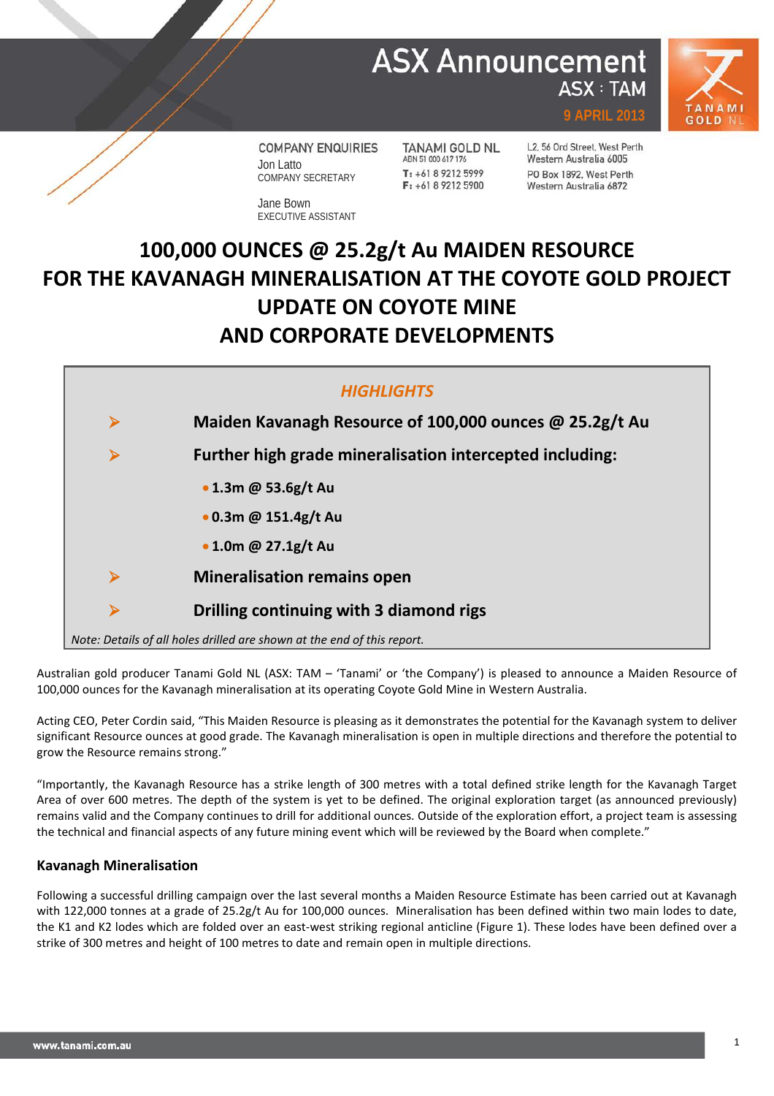## **ASX Announcement ASX: TAM**



**COMPANY ENQUIRIES** Jon Latto COMPANY SECRETARY

Jane Bown EXECUTIVE ASSISTANT

**TANAMI GOLD NL** ABN 51 000 617 176 T: +61 8 9212 5999  $F: +61892125900$ 

L2, 56 Ord Street, West Perth Western Australia 6005 PO Box 1892, West Perth Western Australia 6872

**9 APRIL 2013**

# **100,000 OUNCES @ 25.2g/t Au MAIDEN RESOURCE FOR THE KAVANAGH MINERALISATION AT THE COYOTE GOLD PROJECT UPDATE ON COYOTE MINE AND CORPORATE DEVELOPMENTS**



Australian gold producer Tanami Gold NL (ASX: TAM – 'Tanami' or 'the Company') is pleased to announce a Maiden Resource of 100,000 ounces for the Kavanagh mineralisation at its operating Coyote Gold Mine in Western Australia.

Acting CEO, Peter Cordin said, "This Maiden Resource is pleasing as it demonstrates the potential for the Kavanagh system to deliver significant Resource ounces at good grade. The Kavanagh mineralisation is open in multiple directions and therefore the potential to grow the Resource remains strong."

"Importantly, the Kavanagh Resource has a strike length of 300 metres with a total defined strike length for the Kavanagh Target Area of over 600 metres. The depth of the system is yet to be defined. The original exploration target (as announced previously) remains valid and the Company continues to drill for additional ounces. Outside of the exploration effort, a project team is assessing the technical and financial aspects of any future mining event which will be reviewed by the Board when complete."

### **Kavanagh Mineralisation**

Following a successful drilling campaign over the last several months a Maiden Resource Estimate has been carried out at Kavanagh with 122,000 tonnes at a grade of 25.2g/t Au for 100,000 ounces. Mineralisation has been defined within two main lodes to date, the K1 and K2 lodes which are folded over an east-west striking regional anticline (Figure 1). These lodes have been defined over a strike of 300 metres and height of 100 metres to date and remain open in multiple directions.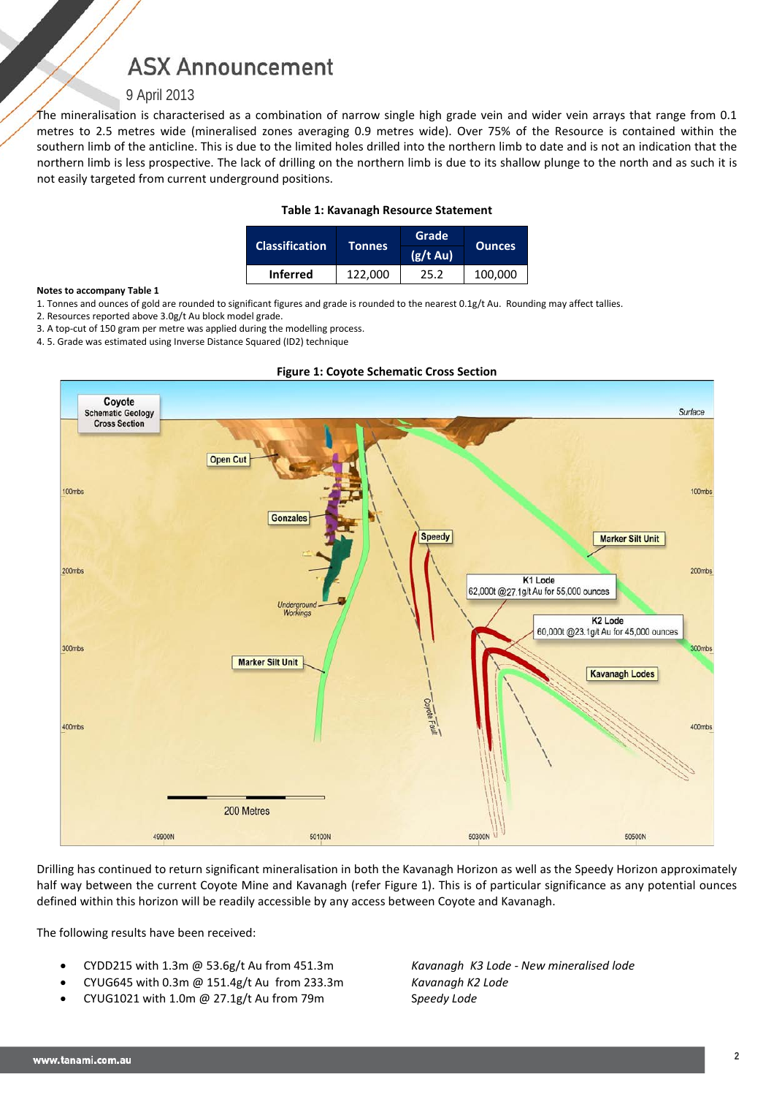## **ASX Announcement**

### 9 April 2013

The mineralisation is characterised as a combination of narrow single high grade vein and wider vein arrays that range from 0.1 metres to 2.5 metres wide (mineralised zones averaging 0.9 metres wide). Over 75% of the Resource is contained within the southern limb of the anticline. This is due to the limited holes drilled into the northern limb to date and is not an indication that the northern limb is less prospective. The lack of drilling on the northern limb is due to its shallow plunge to the north and as such it is not easily targeted from current underground positions.

### **Table 1: Kavanagh Resource Statement**

| <b>Classification</b> |               | Grade         | <b>Ounces</b> |  |
|-----------------------|---------------|---------------|---------------|--|
|                       | <b>Tonnes</b> | $(g/t \, Au)$ |               |  |
| <b>Inferred</b>       | 122.000       | 25.2          | 100,000       |  |

#### **Notes to accompany Table 1**

- 1. Tonnes and ounces of gold are rounded to significant figures and grade is rounded to the nearest 0.1g/t Au. Rounding may affect tallies.
- 2. Resources reported above 3.0g/t Au block model grade.

3. A top-cut of 150 gram per metre was applied during the modelling process.

4. 5. Grade was estimated using Inverse Distance Squared (ID2) technique



Drilling has continued to return significant mineralisation in both the Kavanagh Horizon as well as the Speedy Horizon approximately half way between the current Coyote Mine and Kavanagh (refer Figure 1). This is of particular significance as any potential ounces defined within this horizon will be readily accessible by any access between Coyote and Kavanagh.

The following results have been received:

- CYDD215 with 1.3m @ 53.6g/t Au from 451.3m *Kavanagh K3 Lode - New mineralised lode*
- CYUG645 with 0.3m @ 151.4g/t Au from 233.3m *Kavanagh K2 Lode*
- CYUG1021 with 1.0m @ 27.1g/t Au from 79m S*peedy Lode*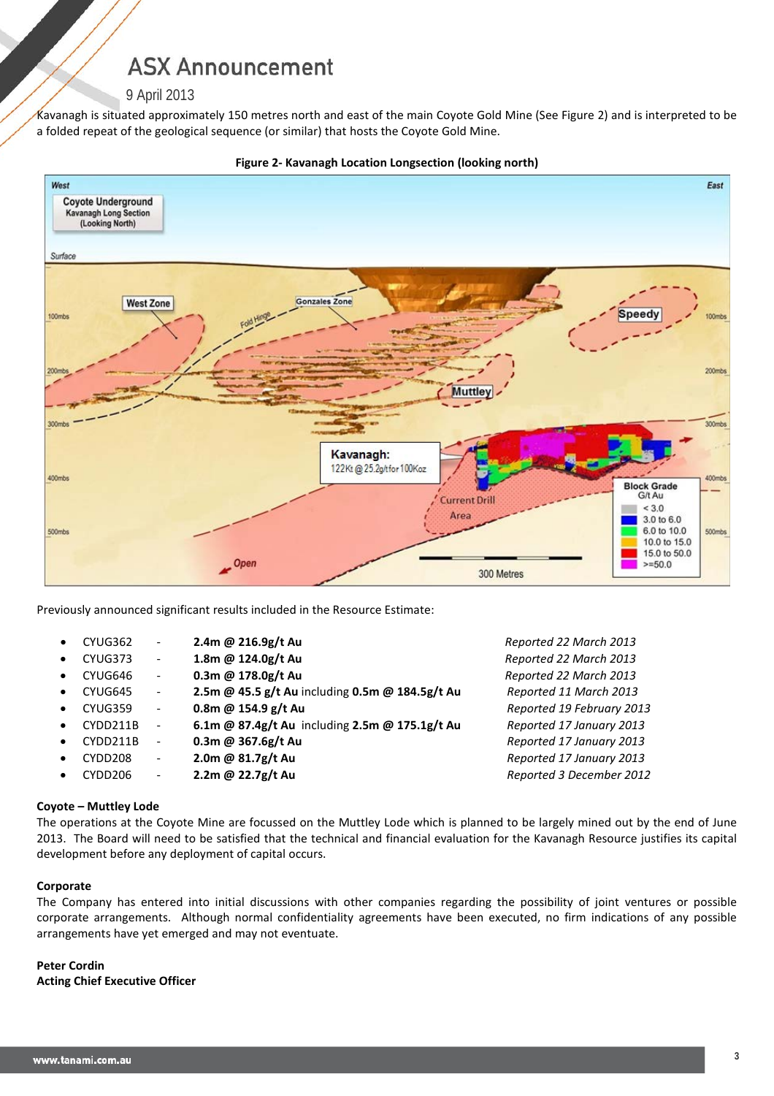## **ASX Announcement**

### 9 April 2013

Kavanagh is situated approximately 150 metres north and east of the main Coyote Gold Mine (See Figure 2) and is interpreted to be a folded repeat of the geological sequence (or similar) that hosts the Coyote Gold Mine.



#### **Figure 2- Kavanagh Location Longsection (looking north)**

Previously announced significant results included in the Resource Estimate:

| CYUG362 | 2.4m @ 216.9g/t Au |
|---------|--------------------|
|         |                    |

- CYUG373 **1.8m @ 124.0g/t Au** *Reported 22 March 2013*
- CYUG646 **0.3m @ 178.0g/t Au** *Reported 22 March 2013*
- CYUG645 **2.5m @ 45.5 g/t Au** including **0.5m @ 184.5g/t Au** *Reported 11 March 2013*
- CYUG359 **0.8m @ 154.9 g/t Au** *Reported 19 February 2013*
- CYDD211B **6.1m @ 87.4g/t Au** including **2.5m @ 175.1g/t Au** *Reported 17 January 2013*
- CYDD211B **0.3m @ 367.6g/t Au** *Reported 17 January 2013*
- CYDD208 **2.0m @ 81.7g/t Au** *Reported 17 January 2013*
- CYDD206 **2.2m @ 22.7g/t Au** *Reported 3 December 2012*

• CYUG362 - **2.4m @ 216.9g/t Au** *Reported 22 March 2013*

### **Coyote – Muttley Lode**

The operations at the Coyote Mine are focussed on the Muttley Lode which is planned to be largely mined out by the end of June 2013. The Board will need to be satisfied that the technical and financial evaluation for the Kavanagh Resource justifies its capital development before any deployment of capital occurs.

### **Corporate**

The Company has entered into initial discussions with other companies regarding the possibility of joint ventures or possible corporate arrangements. Although normal confidentiality agreements have been executed, no firm indications of any possible arrangements have yet emerged and may not eventuate.

**Peter Cordin Acting Chief Executive Officer**